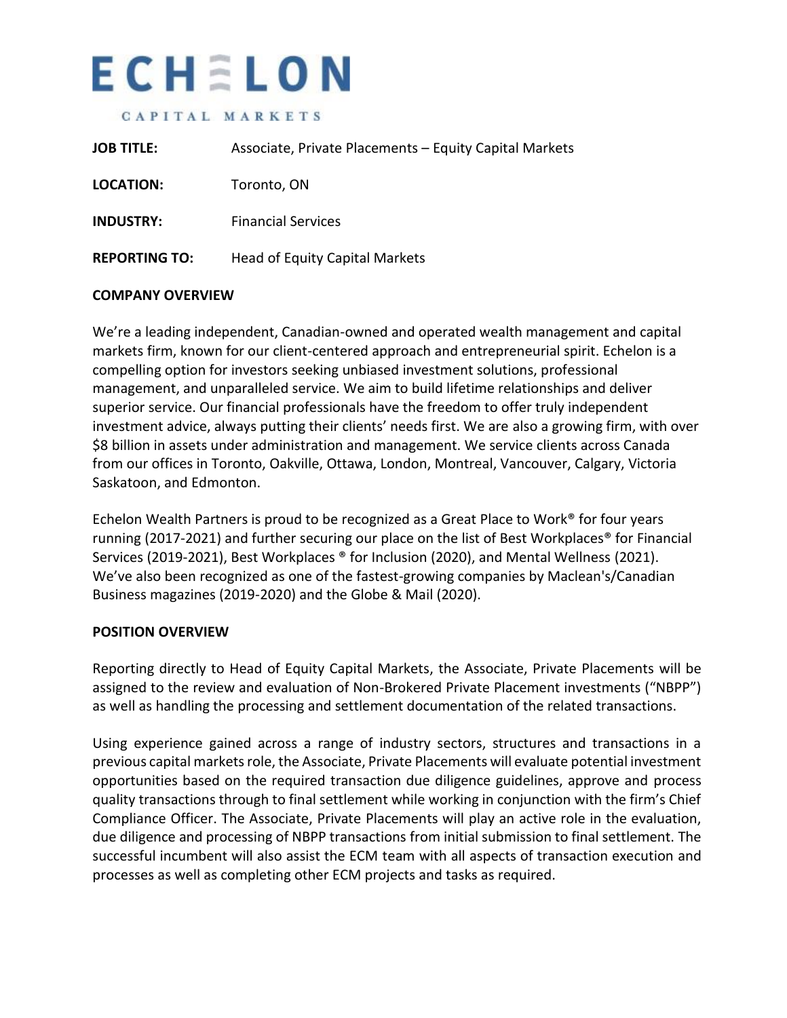# ECHELON

#### CAPITAL MARKETS

| <b>JOB TITLE:</b>    | Associate, Private Placements – Equity Capital Markets |
|----------------------|--------------------------------------------------------|
| LOCATION:            | Toronto, ON                                            |
| <b>INDUSTRY:</b>     | <b>Financial Services</b>                              |
| <b>REPORTING TO:</b> | Head of Equity Capital Markets                         |

### **COMPANY OVERVIEW**

We're a leading independent, Canadian-owned and operated wealth management and capital markets firm, known for our client-centered approach and entrepreneurial spirit. Echelon is a compelling option for investors seeking unbiased investment solutions, professional management, and unparalleled service. We aim to build lifetime relationships and deliver superior service. Our financial professionals have the freedom to offer truly independent investment advice, always putting their clients' needs first. We are also a growing firm, with over \$8 billion in assets under administration and management. We service clients across Canada from our offices in Toronto, Oakville, Ottawa, London, Montreal, Vancouver, Calgary, Victoria Saskatoon, and Edmonton.

Echelon Wealth Partners is proud to be recognized as a Great Place to Work® for four years running (2017-2021) and further securing our place on the list of Best Workplaces® for Financial Services (2019-2021), Best Workplaces ® for Inclusion (2020), and Mental Wellness (2021). We've also been recognized as one of the fastest-growing companies by Maclean's/Canadian Business magazines (2019-2020) and the Globe & Mail (2020).

### **POSITION OVERVIEW**

Reporting directly to Head of Equity Capital Markets, the Associate, Private Placements will be assigned to the review and evaluation of Non-Brokered Private Placement investments ("NBPP") as well as handling the processing and settlement documentation of the related transactions.

Using experience gained across a range of industry sectors, structures and transactions in a previous capital markets role, the Associate, Private Placements will evaluate potential investment opportunities based on the required transaction due diligence guidelines, approve and process quality transactions through to final settlement while working in conjunction with the firm's Chief Compliance Officer. The Associate, Private Placements will play an active role in the evaluation, due diligence and processing of NBPP transactions from initial submission to final settlement. The successful incumbent will also assist the ECM team with all aspects of transaction execution and processes as well as completing other ECM projects and tasks as required.